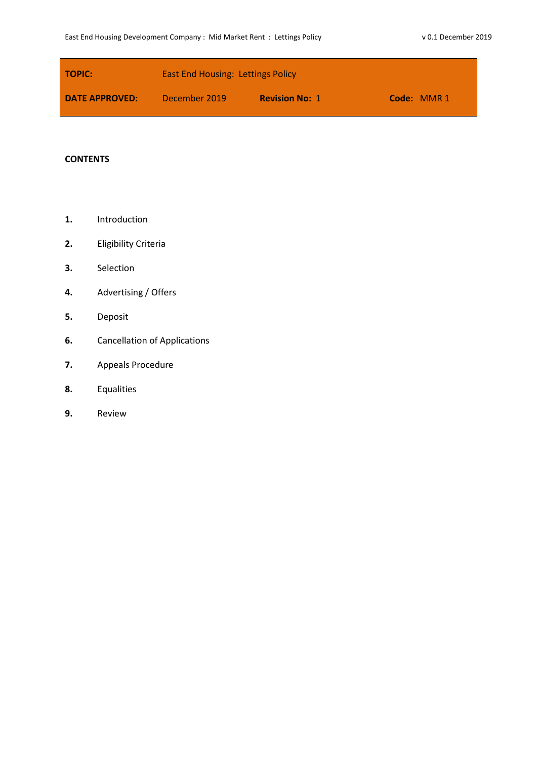| <b>TOPIC:</b>         | <b>East End Housing: Lettings Policy</b> |                       |             |
|-----------------------|------------------------------------------|-----------------------|-------------|
| <b>DATE APPROVED:</b> | December 2019                            | <b>Revision No: 1</b> | Code: MMR 1 |

# **CONTENTS**

- **1.** Introduction
- **2.** Eligibility Criteria
- **3.** Selection
- **4.** Advertising / Offers
- **5.** Deposit
- **6.** Cancellation of Applications
- **7.** Appeals Procedure
- **8.** Equalities
- **9.** Review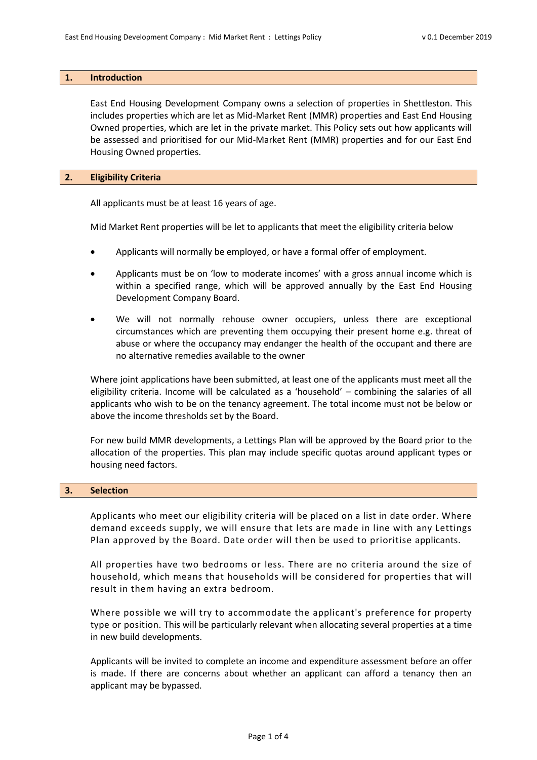#### **1. Introduction**

East End Housing Development Company owns a selection of properties in Shettleston. This includes properties which are let as Mid-Market Rent (MMR) properties and East End Housing Owned properties, which are let in the private market. This Policy sets out how applicants will be assessed and prioritised for our Mid-Market Rent (MMR) properties and for our East End Housing Owned properties.

## **2. Eligibility Criteria**

All applicants must be at least 16 years of age.

Mid Market Rent properties will be let to applicants that meet the eligibility criteria below

- Applicants will normally be employed, or have a formal offer of employment.
- Applicants must be on 'low to moderate incomes' with a gross annual income which is within a specified range, which will be approved annually by the East End Housing Development Company Board.
- We will not normally rehouse owner occupiers, unless there are exceptional circumstances which are preventing them occupying their present home e.g. threat of abuse or where the occupancy may endanger the health of the occupant and there are no alternative remedies available to the owner

Where joint applications have been submitted, at least one of the applicants must meet all the eligibility criteria. Income will be calculated as a 'household' – combining the salaries of all applicants who wish to be on the tenancy agreement. The total income must not be below or above the income thresholds set by the Board.

For new build MMR developments, a Lettings Plan will be approved by the Board prior to the allocation of the properties. This plan may include specific quotas around applicant types or housing need factors.

## **3. Selection**

Applicants who meet our eligibility criteria will be placed on a list in date order. Where demand exceeds supply, we will ensure that lets are made in line with any Lettings Plan approved by the Board. Date order will then be used to prioritise applicants.

All properties have two bedrooms or less. There are no criteria around the size of household, which means that households will be considered for properties that will result in them having an extra bedroom.

Where possible we will try to accommodate the applicant's preference for property type or position. This will be particularly relevant when allocating several properties at a time in new build developments.

Applicants will be invited to complete an income and expenditure assessment before an offer is made. If there are concerns about whether an applicant can afford a tenancy then an applicant may be bypassed.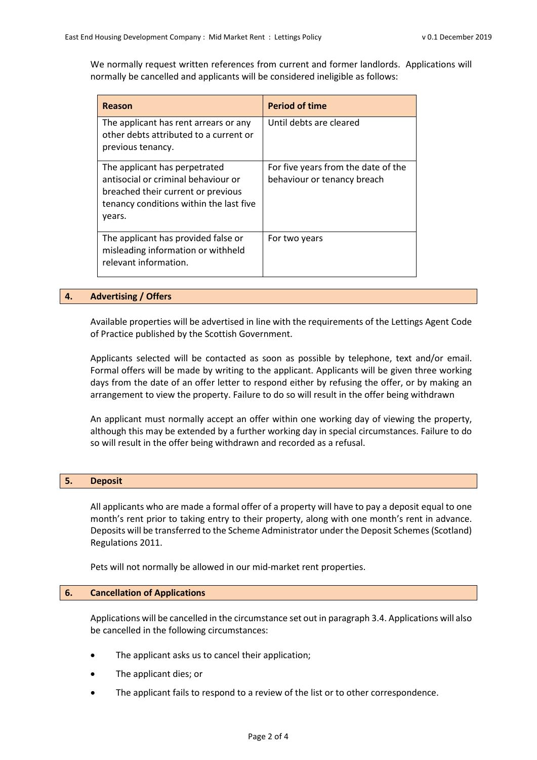We normally request written references from current and former landlords. Applications will normally be cancelled and applicants will be considered ineligible as follows:

| Reason                                                                                                                                                          | <b>Period of time</b>                                              |
|-----------------------------------------------------------------------------------------------------------------------------------------------------------------|--------------------------------------------------------------------|
| The applicant has rent arrears or any<br>other debts attributed to a current or<br>previous tenancy.                                                            | Until debts are cleared                                            |
| The applicant has perpetrated<br>antisocial or criminal behaviour or<br>breached their current or previous<br>tenancy conditions within the last five<br>years. | For five years from the date of the<br>behaviour or tenancy breach |
| The applicant has provided false or<br>misleading information or withheld<br>relevant information.                                                              | For two years                                                      |

#### **4. Advertising / Offers**

Available properties will be advertised in line with the requirements of the Lettings Agent Code of Practice published by the Scottish Government.

Applicants selected will be contacted as soon as possible by telephone, text and/or email. Formal offers will be made by writing to the applicant. Applicants will be given three working days from the date of an offer letter to respond either by refusing the offer, or by making an arrangement to view the property. Failure to do so will result in the offer being withdrawn

An applicant must normally accept an offer within one working day of viewing the property, although this may be extended by a further working day in special circumstances. Failure to do so will result in the offer being withdrawn and recorded as a refusal.

#### **5. Deposit**

All applicants who are made a formal offer of a property will have to pay a deposit equal to one month's rent prior to taking entry to their property, along with one month's rent in advance. Deposits will be transferred to the Scheme Administrator under the Deposit Schemes (Scotland) Regulations 2011.

Pets will not normally be allowed in our mid-market rent properties.

## **6. Cancellation of Applications**

Applications will be cancelled in the circumstance set out in paragraph 3.4. Applications will also be cancelled in the following circumstances:

- The applicant asks us to cancel their application;
- The applicant dies; or
- The applicant fails to respond to a review of the list or to other correspondence.